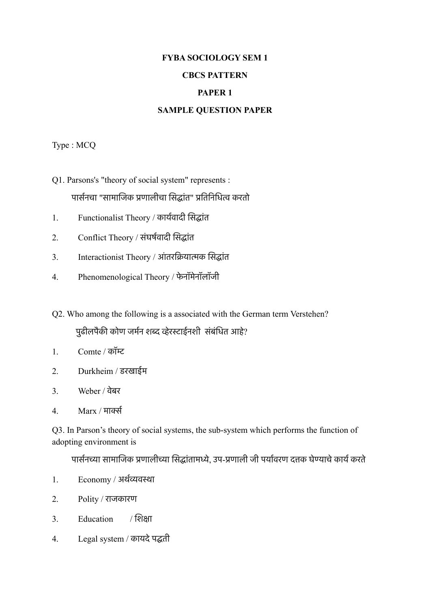# **FYBA SOCIOLOGY SEM 1**

#### **CBCS PATTERN**

### **PAPER 1**

#### **SAMPLE QUESTION PAPER**

Type : MCQ

- Q1. Parsons's "theory of social system" represents : पार्सनचा "सामाजिक प्रणालीचा सिद्धांत" प्रतिनिधित्व करतो
- 1. Functionalist Theory / कायरवादी िसदांत
- 2. Conflict Theory / संघर्षवादी सिद्धांत
- 3. Interactionist Theory / आंतरक्रियात्मक सिद्धांत
- 4. Phenomenological Theory / फेनॉमेनॉलॉजी
- Q2. Who among the following is a associated with the German term Verstehen? पुढीलपैकी कोण जर्मन शब्द व्हेरस्टाईनशी संबंधित आहे?
- 1. Comte / कॉमट
- 2. Durkheim / डरखाईम
- 3. Weber / वेबर
- 4. Marx / माकर

Q3. In Parson's theory of social systems, the sub-system which performs the function of adopting environment is

पार्सनच्या सामाजिक प्रणालीच्या सिद्धांतामध्ये, उप-प्रणाली जी पर्यावरण दत्तक घेण्याचे कार्य करते

- 1. Economy / अर्थव्यवस्था
- 2. Polity / राजकारण
- 3. Education / िशका
- 4. Legal system / कायदेपदती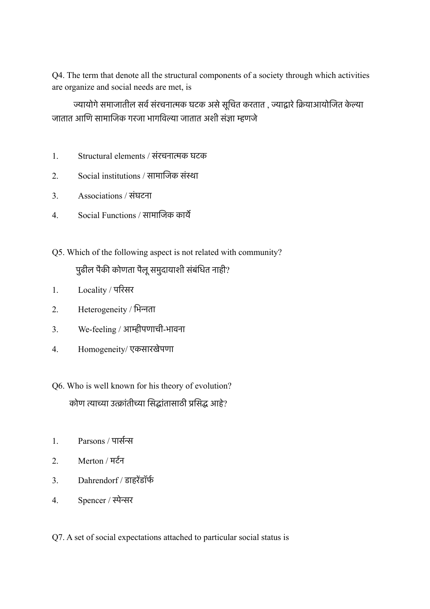Q4. The term that denote all the structural components of a society through which activities are organize and social needs are met, is

ज्यायोगे समाजातील सर्व संरचनात्मक घटक असे सूचित करतात , ज्याद्वारे क्रियाआयोजित केल्या जातात आिण सामािजक गरजा भागिवला जातात अशी संजा मणजे

- 1. Structural elements / संरचनातक घटक
- 2. Social institutions / सामािजक संसा
- 3. Associations / संघटना
- 4. Social Functions / सामािजक काये
- Q5. Which of the following aspect is not related with community?

## पुढील पैकी कोणता पैलू समुदायाशी संबंधित नाही?

- 1. Locality / पिरसर
- 2. Heterogeneity / िभनता
- 3. We-feeling / आमीपणाची-भावना
- 4. Homogeneity/ एकसारखेपणा
- Q6. Who is well known for his theory of evolution? कोण त्याच्या उत्क्रांतीच्या सिद्धांतासाठी प्रसिद्ध आहे?
- 1. Parsons / पासरन
- 2. Merton / मटरन
- 3. Dahrendorf / डाहरेंडॉर्फ
- 4. Spencer / सेनर
- Q7. A set of social expectations attached to particular social status is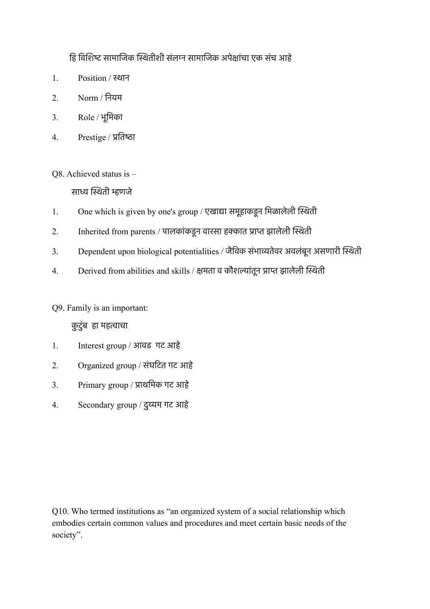हि विशिष्ट सामाजिक स्थितीशी संलग्न सामाजिक अपेक्षांचा एक संच आहे

- 1 Position / स्थान
- 2. Norm / िनयम
- 3. Role / भूिमका
- 4. Prestige / प्रतिष्ठा

Q8. Achieved status is –

साध्य स्थिती म्हणजे

- 1. One which is given by one's group / एखाद्या समूहाकडून मिळालेली स्थिती
- 2. Inherited from parents / पालकांकडून वारसा हक्कात प्राप्त झालेली स्थिती
- 3. Dependent upon biological potentialities / जैविक संभाव्यतेवर अवलंबून असणारी स्थिती
- 4. Derived from abilities and skills / क्षमता व कौशल्यांतून प्राप्त झालेली स्थिती

Q9. Family is an important:

# कुटुंब हा महताचा

- 1. Interest group / आवड गट आहे
- 2. Organized group / संघिटत गट आहे
- 3. Primary group / पाथिमक गट आहे
- 4. Secondary group / दुयम गट आहे

Q10. Who termed institutions as "an organized system of a social relationship which embodies certain common values and procedures and meet certain basic needs of the society".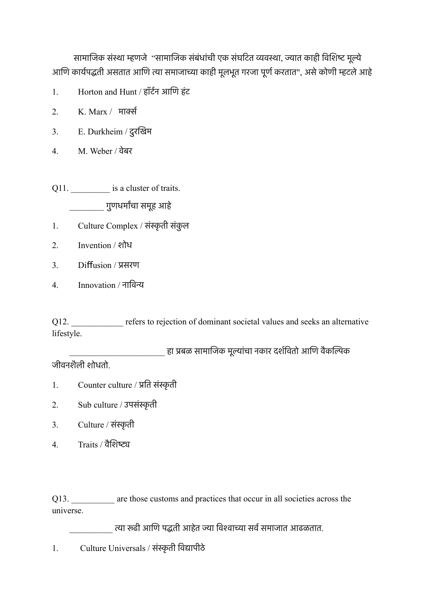सामाजिक संस्था म्हणजे "सामाजिक संबंधांची एक संघटित व्यवस्था, ज्यात काही विशिष्ट मूल्ये आणि कार्यपद्धती असतात आणि त्या समाजाच्या काही मूलभूत गरजा पूर्ण करतात", असे कोणी म्हटले आहे

- 1. Horton and Hunt / हॉर्टन आणि हंट
- 2. K. Marx / माकर
- 3. E. Durkheim / दुरिखम
- 4. M. Weber / वेबर

Q11. \_\_\_\_\_\_\_\_\_\_\_ is a cluster of traits. \_\_\_\_\_\_\_\_ गुणधमारचा समूह आहे

- 1. Culture Complex / संस्कृती संकुल
- 2. Invention / शोध
- 3. Difusion / पसरण
- 4. Innovation / नािवन

Q12. The refers to rejection of dominant societal values and seeks an alternative lifestyle.

हा प्रबळ सामाजिक मूल्यांचा नकार दर्शवितो आणि वैकल्पिक

जीवनशैली शोधतो.

- 1. Counter culture / प्रति संस्कृती
- 2. Sub culture / उपसंस्कृती
- 3. Culture / संस्कृती
- 4. Traits / वैशिष्ट्य

Q13. \_\_\_\_\_\_\_\_\_\_ are those customs and practices that occur in all societies across the universe.

त्या रूढी आणि पद्धती आहेत ज्या विश्वाच्या सर्व समाजात आढळतात.

1. Culture Universals / संस्कृती विद्यापीठे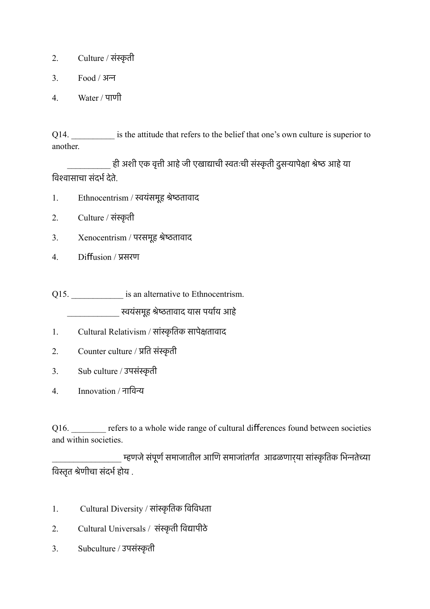- 2. Culture / संस्कृती
- 3. Food / अन
- 4. Water / पाणी

Q14. \_\_\_\_\_\_\_\_\_\_ is the attitude that refers to the belief that one's own culture is superior to another.

ही अशी एक वृत्ती आहे जी एखाद्याची स्वतःची संस्कृती दुसऱ्यापेक्षा श्रेष्ठ आहे या विश्वासाचा संदर्भ देते.

- 1. Ethnocentrism / सयंसमूह शेषतावाद
- 2. Culture / संस्कृती
- 3. Xenocentrism / परसमूह शेषतावाद
- 4. Difusion / पसरण

Q15. \_\_\_\_\_\_\_\_\_\_\_\_\_\_\_\_\_ is an alternative to Ethnocentrism. \_\_\_\_\_\_\_\_\_\_\_\_ सयंसमूह शेषतावाद यास पयारय आहे

- 1. Cultural Relativism / सांस्कृतिक सापेक्षतावाद
- 2. Counter culture / प्रति संस्कृती
- 3. Sub culture / उपसंस्कृती
- 4. Innovation / नािवन

Q16. The refers to a whole wide range of cultural differences found between societies and within societies.

<sub>.</sub> म्हणजे संपूर्ण समाजातील आणि समाजांतर्गत आढळणार्**या सांस्कृतिक भिन्नतेच्या** विस्तृत श्रेणीचा संदर्भ होय .

- 1. Cultural Diversity / सांस्कृतिक विविधता
- 2. Cultural Universals / संस्कृती विद्यापीठे
- 3. Subculture / उपसंस्कृती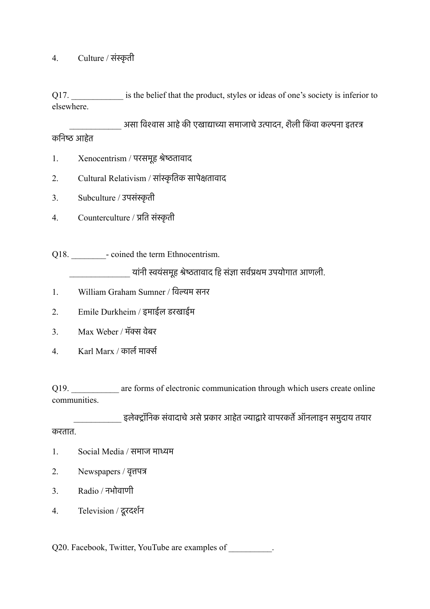### 4. Culture / संस्कृती

Q17. \_\_\_\_\_\_\_\_\_\_\_\_\_\_ is the belief that the product, styles or ideas of one's society is inferior to elsewhere.

असा विश्वास आहे की एखाद्याच्या समाजाचे उत्पादन, शैली किंवा कल्पना इतरत्र कनिष्ठ आहेत

- 1. Xenocentrism / परसमूह शेषतावाद
- 2. Cultural Relativism / सांस्कृतिक सापेक्षतावाद
- 3. Subculture / उपसंस्कृती
- 4. Counterculture / प्रति संस्कृती

Q18. \_\_\_\_\_\_\_\_- coined the term Ethnocentrism.

यांनी स्वयंसमूह श्रेष्ठतावाद हि संज्ञा सर्वप्रथम उपयोगात आणली.

- 1. William Graham Sumner / िवलम सनर
- 2. Emile Durkheim / इमाईल डरखाईम
- 3. Max Weber / मॅक्स वेबर
- 4. Karl Marx / कार्ल मार्क्स

Q19. **are forms of electronic communication through which users create online** communities.

्हलेक्ट्रॉनिक संवादाचे असे प्रकार आहेत ज्याद्वारे वापरकर्ते ऑनलाइन समुदाय तयार

करतात.

- 1. Social Media / समाज माधम
- 2. Newspapers / वृतपत
- 3. Radio / नभोवाणी
- 4. Television / दूरदशरन

Q20. Facebook, Twitter, YouTube are examples of \_\_\_\_\_\_\_\_\_.